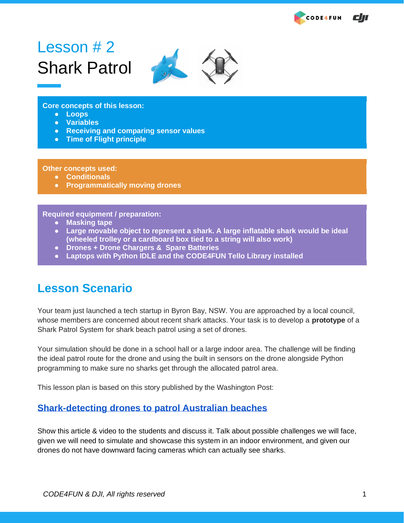

# Lesson  $# 2$ Shark Patrol



**Core concepts of this lesson:**

- **Loops**
- **Variables**
- **Receiving and comparing sensor values**
- **Time of Flight principle**

#### **Other concepts used:**

- **Conditionals**
- **Programmatically moving drones**

#### **Required equipment / preparation:**

- **Masking tape**
- **Large movable object to represent a shark. A large inflatable shark would be ideal (wheeled trolley or a cardboard box tied to a string will also work)**
- **Drones + Drone Chargers & Spare Batteries**
- **Laptops with Python IDLE and the CODE4FUN Tello Library installed**

### **Lesson Scenario**

Your team just launched a tech startup in Byron Bay, NSW. You are approached by a local council, whose members are concerned about recent shark attacks. Your task is to develop a **prototype** of a Shark Patrol System for shark beach patrol using a set of drones.

Your simulation should be done in a school hall or a large indoor area. The challenge will be finding the ideal patrol route for the drone and using the built in sensors on the drone alongside Python programming to make sure no sharks get through the allocated patrol area.

This lesson plan is based on this story published by the Washington Post:

### **[Shark-detecting drones to patrol Australian beaches](https://www.washingtonpost.com/video/world/shark-detecting-drones-to-patrol-australias-beaches/2017/08/25/3cc8daba-8993-11e7-96a7-d178cf3524eb_video.html)**

Show this article & video to the students and discuss it. Talk about possible challenges we will face, given we will need to simulate and showcase this system in an indoor environment, and given our drones do not have downward facing cameras which can actually see sharks.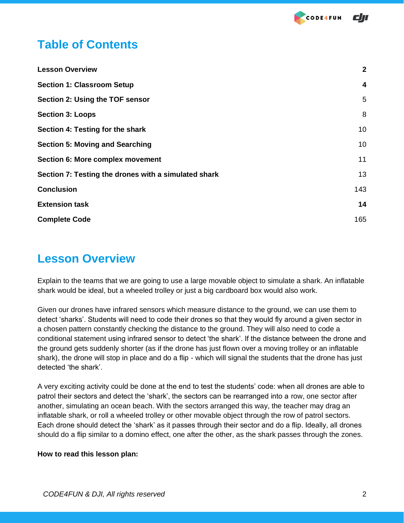## **Table of Contents**

| <b>Lesson Overview</b>                               | $\mathbf{2}$     |
|------------------------------------------------------|------------------|
| <b>Section 1: Classroom Setup</b>                    | $\boldsymbol{4}$ |
| Section 2: Using the TOF sensor                      | 5                |
| <b>Section 3: Loops</b>                              | 8                |
| Section 4: Testing for the shark                     | 10               |
| <b>Section 5: Moving and Searching</b>               | 10               |
| <b>Section 6: More complex movement</b>              | 11               |
| Section 7: Testing the drones with a simulated shark | 13               |
| <b>Conclusion</b>                                    | 143              |
| <b>Extension task</b>                                | 14               |
| <b>Complete Code</b>                                 | 165              |

## **Lesson Overview**

Explain to the teams that we are going to use a large movable object to simulate a shark. An inflatable shark would be ideal, but a wheeled trolley or just a big cardboard box would also work.

Given our drones have infrared sensors which measure distance to the ground, we can use them to detect 'sharks'. Students will need to code their drones so that they would fly around a given sector in a chosen pattern constantly checking the distance to the ground. They will also need to code a conditional statement using infrared sensor to detect 'the shark'. If the distance between the drone and the ground gets suddenly shorter (as if the drone has just flown over a moving trolley or an inflatable shark), the drone will stop in place and do a flip - which will signal the students that the drone has just detected 'the shark'.

A very exciting activity could be done at the end to test the students' code: when all drones are able to patrol their sectors and detect the 'shark', the sectors can be rearranged into a row, one sector after another, simulating an ocean beach. With the sectors arranged this way, the teacher may drag an inflatable shark, or roll a wheeled trolley or other movable object through the row of patrol sectors. Each drone should detect the 'shark' as it passes through their sector and do a flip. Ideally, all drones should do a flip similar to a domino effect, one after the other, as the shark passes through the zones.

### **How to read this lesson plan:**

**CODE4FUN**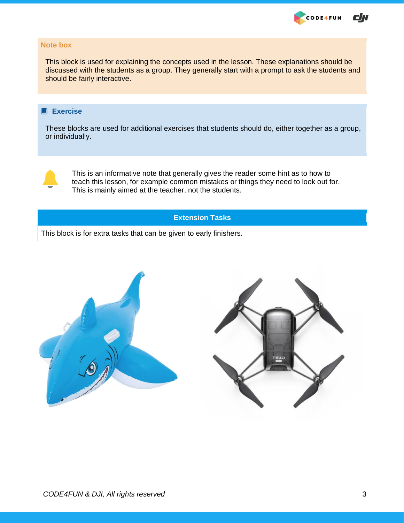

#### **Note box**

This block is used for explaining the concepts used in the lesson. These explanations should be discussed with the students as a group. They generally start with a prompt to ask the students and should be fairly interactive.

### **Exercise**

These blocks are used for additional exercises that students should do, either together as a group, or individually.



This is an informative note that generally gives the reader some hint as to how to teach this lesson, for example common mistakes or things they need to look out for. This is mainly aimed at the teacher, not the students.

### **Extension Tasks**

This block is for extra tasks that can be given to early finishers.

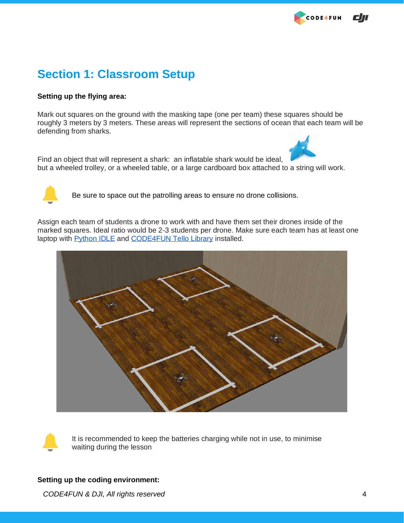## **Section 1: Classroom Setup**

### **Setting up the flying area:**

Mark out squares on the ground with the masking tape (one per team) these squares should be roughly 3 meters by 3 meters. These areas will represent the sections of ocean that each team will be defending from sharks.



Find an object that will represent a shark: an inflatable shark would be ideal, but a wheeled trolley, or a wheeled table, or a large cardboard box attached to a string will work.



Be sure to space out the patrolling areas to ensure no drone collisions.

Assign each team of students a drone to work with and have them set their drones inside of the marked squares. Ideal ratio would be 2-3 students per drone. Make sure each team has at least one laptop with **Python IDLE** and **CODE4FUN Tello Library installed.** 





 It is recommended to keep the batteries charging while not in use, to minimise waiting during the lesson

#### **Setting up the coding environment:**

*CODE4FUN & DJI, All rights reserved* 4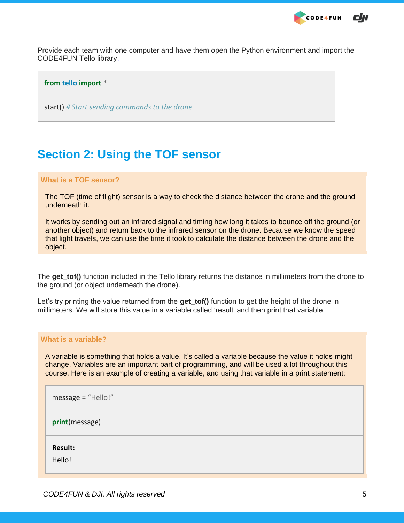

Provide each team with one computer and have them open the Python environment and import the CODE4FUN Tello library.

#### **from tello import** \*

start() *# Start sending commands to the drone*

## <span id="page-4-0"></span>**Section 2: Using the TOF sensor**

#### **What is a TOF sensor?**

The TOF (time of flight) sensor is a way to check the distance between the drone and the ground underneath it.

It works by sending out an infrared signal and timing how long it takes to bounce off the ground (or another object) and return back to the infrared sensor on the drone. Because we know the speed that light travels, we can use the time it took to calculate the distance between the drone and the object.

The **get tof()** function included in the Tello library returns the distance in millimeters from the drone to the ground (or object underneath the drone).

Let's try printing the value returned from the **get\_tof()** function to get the height of the drone in millimeters. We will store this value in a variable called 'result' and then print that variable.

#### **What is a variable?**

A variable is something that holds a value. It's called a variable because the value it holds might change. Variables are an important part of programming, and will be used a lot throughout this course. Here is an example of creating a variable, and using that variable in a print statement:

| message = "Hello!"       |
|--------------------------|
| print(message)           |
| <b>Result:</b><br>Hello! |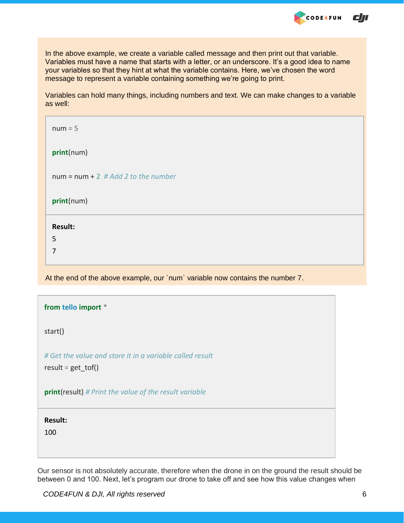

In the above example, we create a variable called message and then print out that variable. Variables must have a name that starts with a letter, or an underscore. It's a good idea to name your variables so that they hint at what the variable contains. Here, we've chosen the word message to represent a variable containing something we're going to print.

Variables can hold many things, including numbers and text. We can make changes to a variable as well:

| $num = 5$                             |
|---------------------------------------|
| print(num)                            |
| $num = num + 2$ # Add 2 to the number |
| print(num)                            |
| <b>Result:</b>                        |
| 5                                     |
| 7                                     |

At the end of the above example, our `num` variable now contains the number 7.

| from tello import *                                                               |
|-----------------------------------------------------------------------------------|
| start()                                                                           |
| # Get the value and store it in a variable called result<br>$result = get\_tof()$ |
| <b>print(result)</b> # Print the value of the result variable                     |
| <b>Result:</b><br>100                                                             |

Our sensor is not absolutely accurate, therefore when the drone in on the ground the result should be between 0 and 100. Next, let's program our drone to take off and see how this value changes when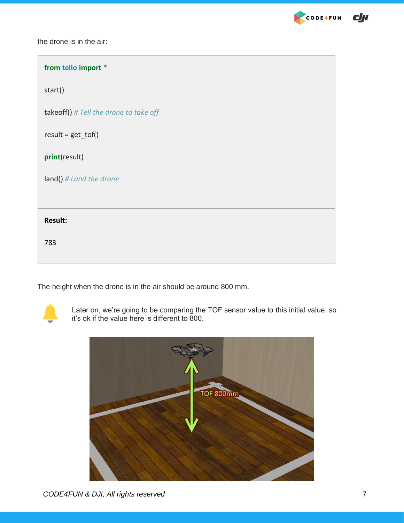

| from tello import *                      |
|------------------------------------------|
| start()                                  |
| takeoff() $#$ Tell the drone to take off |
| $result = get\_tof()$                    |
| print(result)                            |
| land() # Land the drone                  |
|                                          |
| <b>Result:</b>                           |
| 783                                      |
|                                          |

The height when the drone is in the air should be around 800 mm.



Later on, we're going to be comparing the TOF sensor value to this initial value, so it's ok if the value here is different to 800.



CODE4FUN

 $d\pi$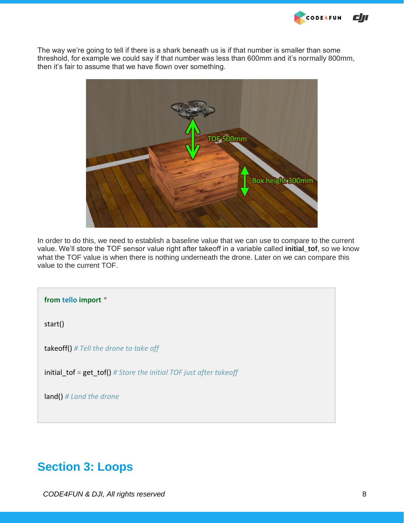The way we're going to tell if there is a shark beneath us is if that number is smaller than some threshold, for example we could say if that number was less than 600mm and it's normally 800mm, then it's fair to assume that we have flown over something.

**CODE4FUN** 

cл



In order to do this, we need to establish a baseline value that we can use to compare to the current value. We'll store the TOF sensor value right after takeoff in a variable called **initial\_tof**, so we know what the TOF value is when there is nothing underneath the drone. Later on we can compare this value to the current TOF.

**from tello import** \* start() takeoff() *# Tell the drone to take off* initial\_tof = get\_tof() *# Store the initial TOF just after takeoff* land() *# Land the drone*

## <span id="page-7-0"></span>**Section 3: Loops**

*CODE4FUN & DJI, All rights reserved* 8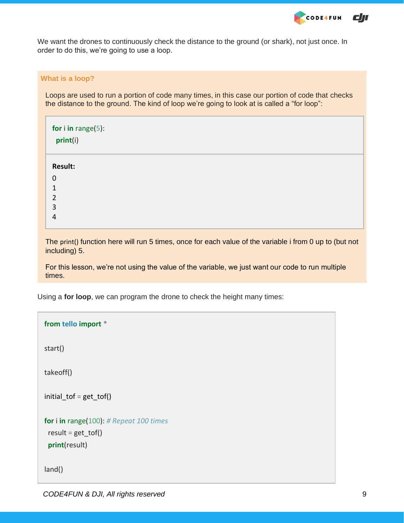

We want the drones to continuously check the distance to the ground (or shark), not just once. In order to do this, we're going to use a loop.

#### **What is a loop?**

Loops are used to run a portion of code many times, in this case our portion of code that checks the distance to the ground. The kind of loop we're going to look at is called a "for loop":

| for $i$ in range $(5)$ :<br>print(i) |
|--------------------------------------|
| Result:                              |
| $\mathbf 0$                          |
|                                      |
| $\overline{2}$                       |
| 3                                    |
| 4                                    |

The print() function here will run 5 times, once for each value of the variable i from 0 up to (but not including) 5.

For this lesson, we're not using the value of the variable, we just want our code to run multiple times.

Using a **for loop**, we can program the drone to check the height many times:

```
from tello import *
start()
takeoff()
initial tof = get tof()
for i in range(100): # Repeat 100 times
 result = get tot() print(result)
land()
```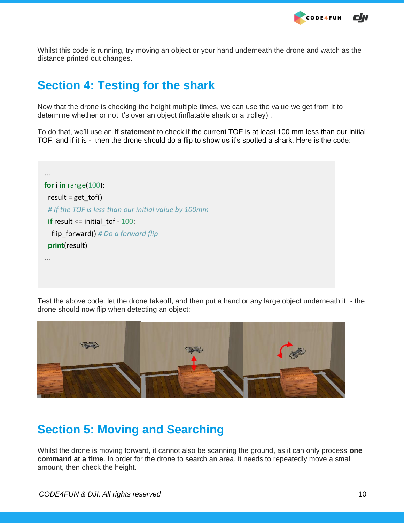**CODE4FUN** cm

<span id="page-9-0"></span>Whilst this code is running, try moving an object or your hand underneath the drone and watch as the distance printed out changes.

## **Section 4: Testing for the shark**

Now that the drone is checking the height multiple times, we can use the value we get from it to determine whether or not it's over an object (inflatable shark or a trolley) .

To do that, we'll use an **if statement** to check if the current TOF is at least 100 mm less than our initial TOF, and if it is - then the drone should do a flip to show us it's spotted a shark. Here is the code:

... **for** i **in** range(100): result = get\_tof() *# If the TOF is less than our initial value by 100mm* **if** result <= initial tof - 100: flip\_forward() *# Do a forward flip* **print**(result) ...

Test the above code: let the drone takeoff, and then put a hand or any large object underneath it - the drone should now flip when detecting an object:



## <span id="page-9-1"></span>**Section 5: Moving and Searching**

Whilst the drone is moving forward, it cannot also be scanning the ground, as it can only process **one command at a time**. In order for the drone to search an area, it needs to repeatedly move a small amount, then check the height.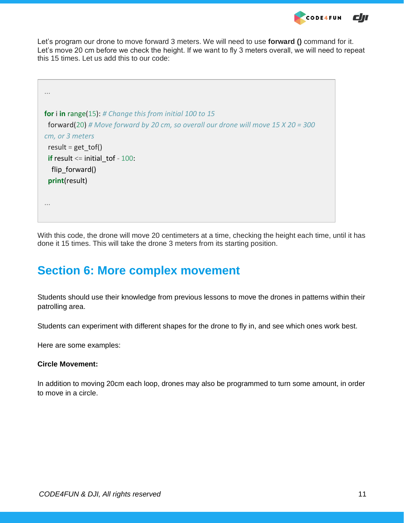

Let's program our drone to move forward 3 meters. We will need to use **forward ()** command for it. Let's move 20 cm before we check the height. If we want to fly 3 meters overall, we will need to repeat this 15 times. Let us add this to our code:

```
...
for i in range(15): # Change this from initial 100 to 15
  forward(20) # Move forward by 20 cm, so overall our drone will move 15 X 20 = 300 
cm, or 3 meters
 result = get tot()if result <= initial tof - 100:
  flip forward()
  print(result)
...
```
<span id="page-10-0"></span>With this code, the drone will move 20 centimeters at a time, checking the height each time, until it has done it 15 times. This will take the drone 3 meters from its starting position.

## **Section 6: More complex movement**

Students should use their knowledge from previous lessons to move the drones in patterns within their patrolling area.

Students can experiment with different shapes for the drone to fly in, and see which ones work best.

Here are some examples:

### **Circle Movement:**

In addition to moving 20cm each loop, drones may also be programmed to turn some amount, in order to move in a circle.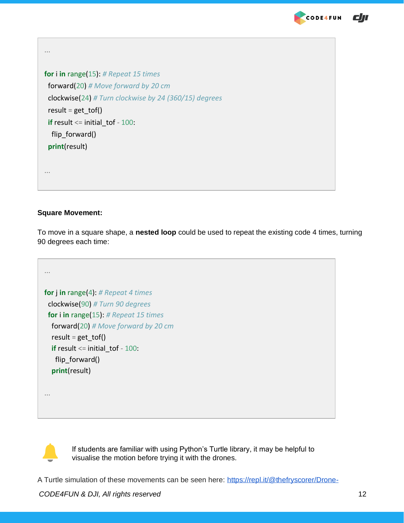

```
\epsilon
```

```
...
for i in range(15): # Repeat 15 times
 forward(20) # Move forward by 20 cm
 clockwise(24) # Turn clockwise by 24 (360/15) degrees
 result = get\_tof()if result <= initial tof - 100:
 flip forward()
  print(result)
...
```
### **Square Movement:**

To move in a square shape, a **nested loop** could be used to repeat the existing code 4 times, turning 90 degrees each time:

```
...
for j in range(4): # Repeat 4 times
  clockwise(90) # Turn 90 degrees
  for i in range(15): # Repeat 15 times
   forward(20) # Move forward by 20 cm
  result = get \text{tof}() if result <= initial_tof - 100: 
   flip forward()
   print(result)
...
```
 If students are familiar with using Python's Turtle library, it may be helpful to visualise the motion before trying it with the drones.

A Turtle simulation of these movements can be seen here: [https://repl.it/@thefryscorer/Drone-](https://repl.it/@thefryscorer/Drone-simulation-using-Turtle)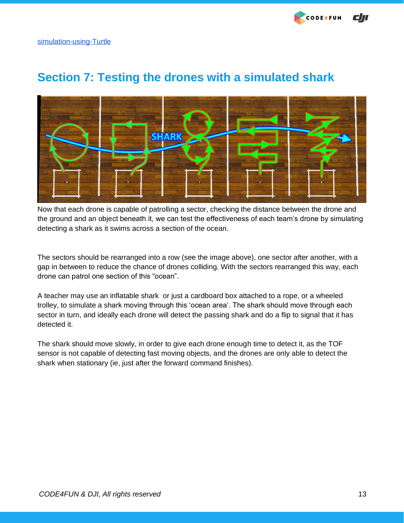

# <span id="page-12-0"></span>**Section 7: Testing the drones with a simulated shark**



Now that each drone is capable of patrolling a sector, checking the distance between the drone and the ground and an object beneath it, we can test the effectiveness of each team's drone by simulating detecting a shark as it swims across a section of the ocean.

The sectors should be rearranged into a row (see the image above), one sector after another, with a gap in between to reduce the chance of drones colliding. With the sectors rearranged this way, each drone can patrol one section of this "ocean".

A teacher may use an inflatable shark or just a cardboard box attached to a rope, or a wheeled trolley, to simulate a shark moving through this 'ocean area'. The shark should move through each sector in turn, and ideally each drone will detect the passing shark and do a flip to signal that it has detected it.

The shark should move slowly, in order to give each drone enough time to detect it, as the TOF sensor is not capable of detecting fast moving objects, and the drones are only able to detect the shark when stationary (ie, just after the forward command finishes).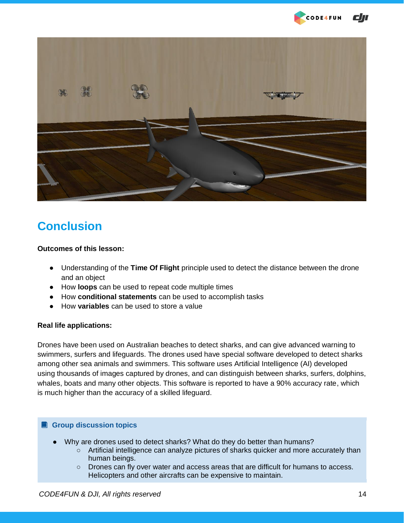



## <span id="page-13-0"></span>**Conclusion**

#### **Outcomes of this lesson:**

- Understanding of the **Time Of Flight** principle used to detect the distance between the drone and an object
- How **loops** can be used to repeat code multiple times
- How **conditional statements** can be used to accomplish tasks
- How **variables** can be used to store a value

### **Real life applications:**

Drones have been used on Australian beaches to detect sharks, and can give advanced warning to swimmers, surfers and lifeguards. The drones used have special software developed to detect sharks among other sea animals and swimmers. This software uses Artificial Intelligence (AI) developed using thousands of images captured by drones, and can distinguish between sharks, surfers, dolphins, whales, boats and many other objects. This software is reported to have a 90% accuracy rate, which is much higher than the accuracy of a skilled lifeguard.

### **<sup>a</sup>** Group discussion topics

- Why are drones used to detect sharks? What do they do better than humans?
	- Artificial intelligence can analyze pictures of sharks quicker and more accurately than human beings.
	- Drones can fly over water and access areas that are difficult for humans to access. Helicopters and other aircrafts can be expensive to maintain.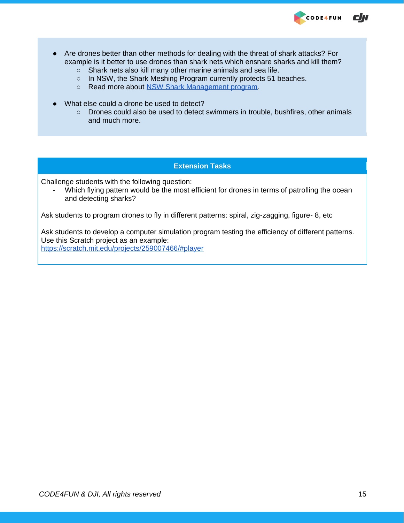

- Are drones better than other methods for dealing with the threat of shark attacks? For example is it better to use drones than shark nets which ensnare sharks and kill them?
	- o Shark nets also kill many other marine animals and sea life.
	- In NSW, the Shark Meshing Program currently protects 51 beaches.
	- Read more about [NSW Shark Management program.](https://www.dpi.nsw.gov.au/fishing/sharks/management)
- What else could a drone be used to detect?
	- Drones could also be used to detect swimmers in trouble, bushfires, other animals and much more.

#### **Extension Tasks**

Challenge students with the following question:

Which flying pattern would be the most efficient for drones in terms of patrolling the ocean and detecting sharks?

Ask students to program drones to fly in different patterns: spiral, zig-zagging, figure- 8, etc

Ask students to develop a computer simulation program testing the efficiency of different patterns. Use this Scratch project as an example: <https://scratch.mit.edu/projects/259007466/#player>